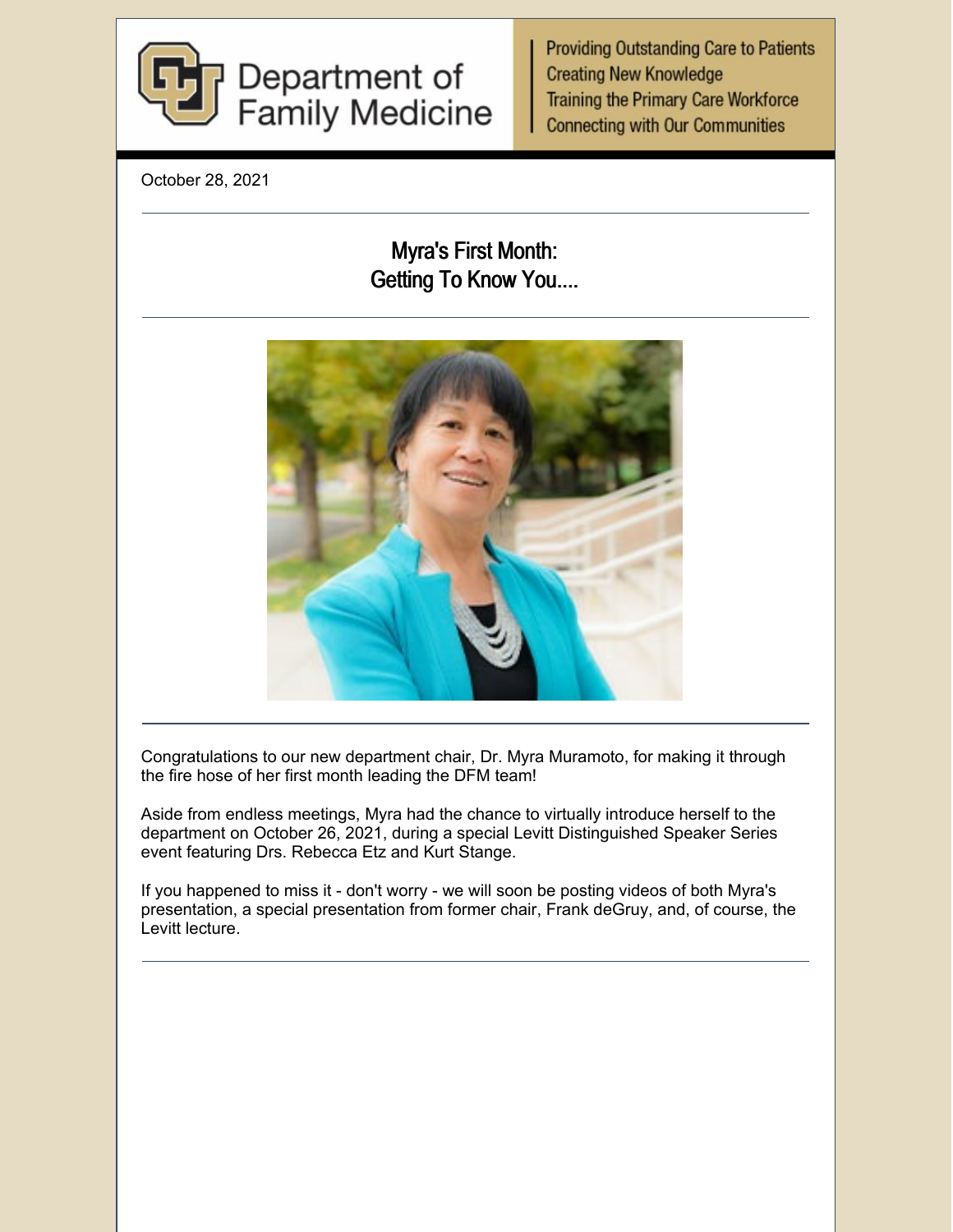

**Providing Outstanding Care to Patients Creating New Knowledge Training the Primary Care Workforce Connecting with Our Communities** 

October 28, 2021

# Myra's First Month: Getting To Know You....



Congratulations to our new department chair, Dr. Myra Muramoto, for making it through the fire hose of her first month leading the DFM team!

Aside from endless meetings, Myra had the chance to virtually introduce herself to the department on October 26, 2021, during a special Levitt Distinguished Speaker Series event featuring Drs. Rebecca Etz and Kurt Stange.

If you happened to miss it - don't worry - we will soon be posting videos of both Myra's presentation, a special presentation from former chair, Frank deGruy, and, of course, the Levitt lecture.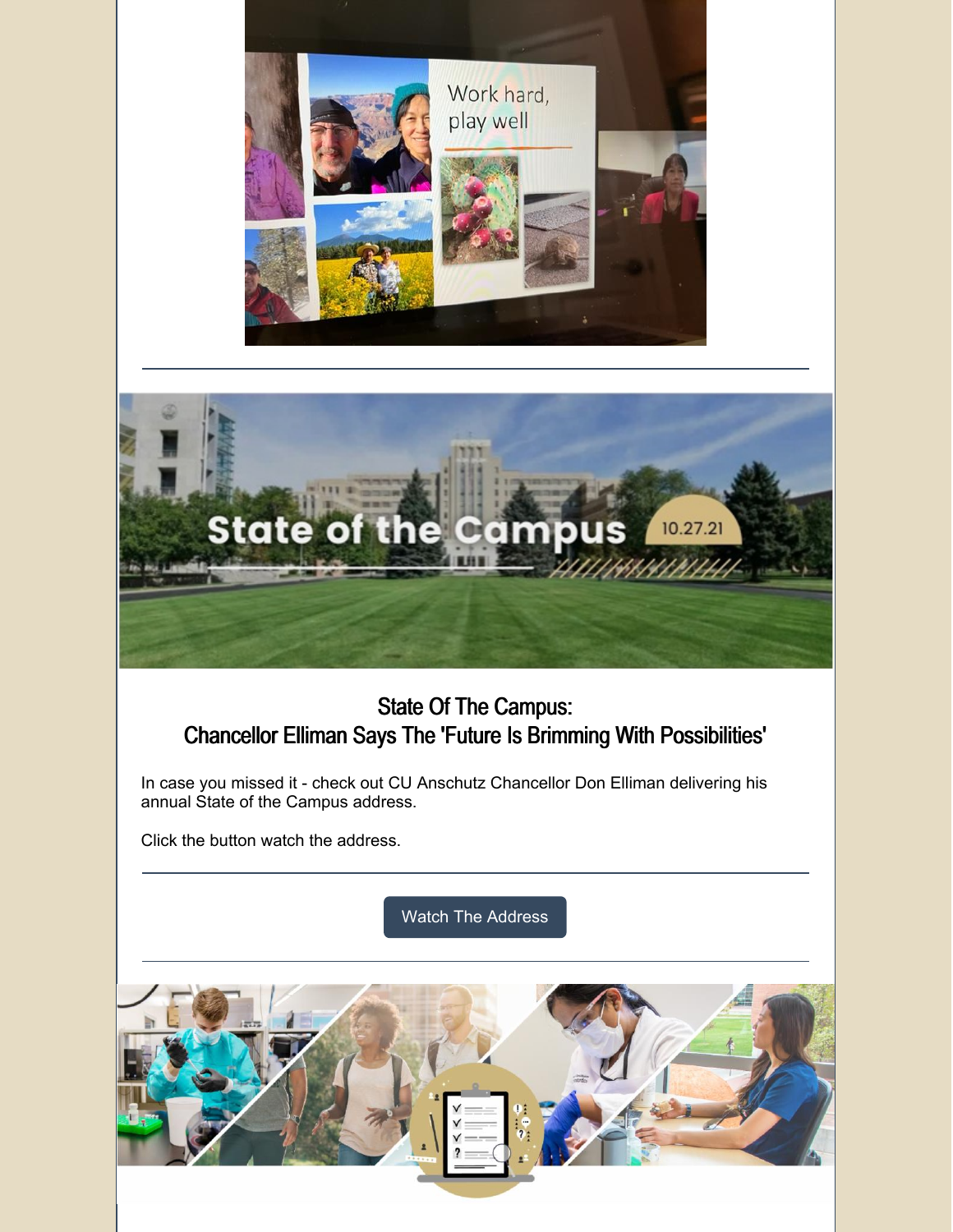



# State Of The Campus: Chancellor Elliman Says The 'Future Is Brimming With Possibilities'

In case you missed it - check out CU Anschutz Chancellor Don Elliman delivering his annual State of the Campus address.

Click the button watch the address.

Watch The [Address](https://news.cuanschutz.edu/news-stories/state-of-the-campus-2021)

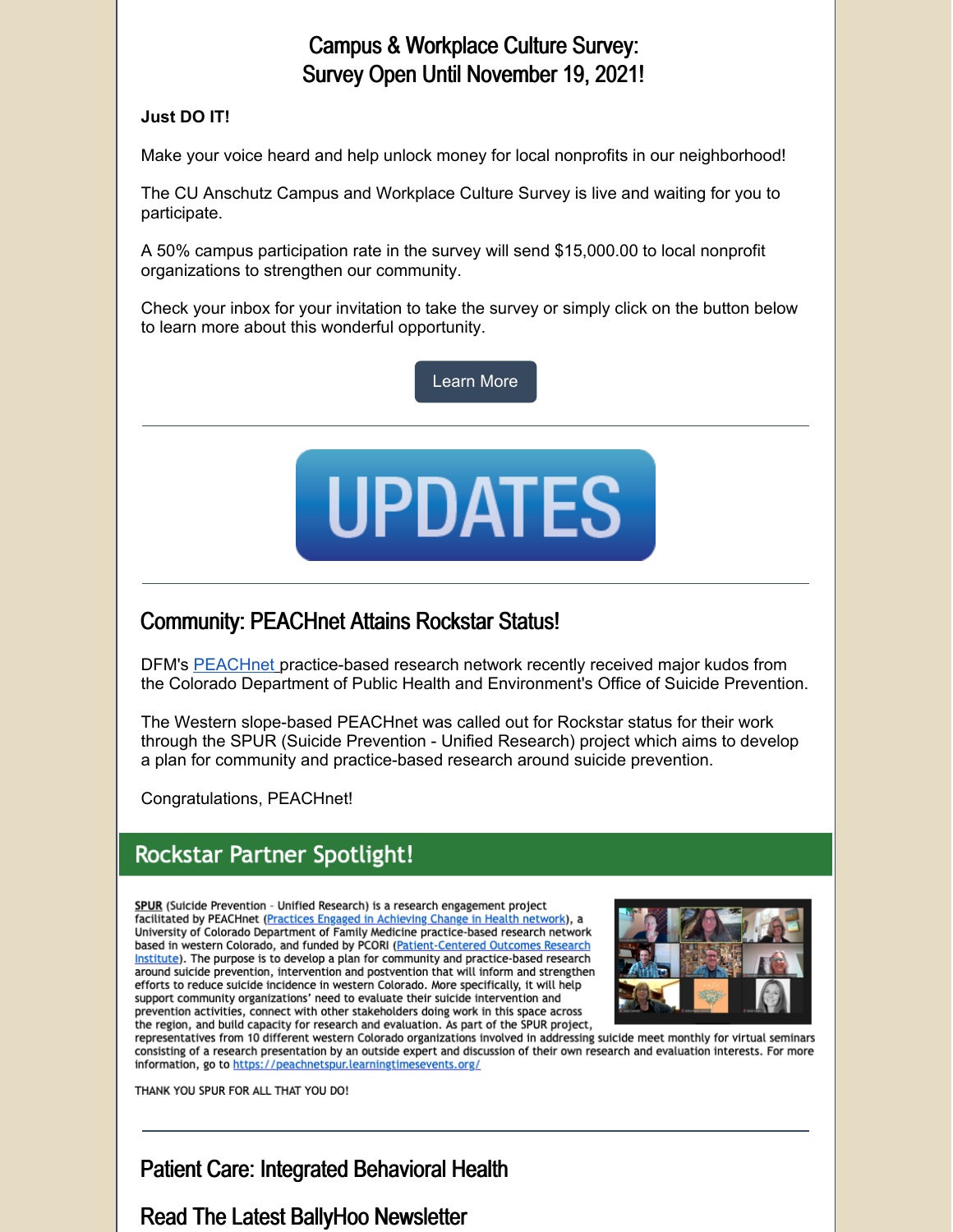### Campus & Workplace Culture Survey: Survey Open Until November 19, 2021!

#### **Just DO IT!**

Make your voice heard and help unlock money for local nonprofits in our neighborhood!

The CU Anschutz Campus and Workplace Culture Survey is live and waiting for you to participate.

A 50% campus participation rate in the survey will send \$15,000.00 to local nonprofit organizations to strengthen our community.

Check your inbox for your invitation to take the survey or simply click on the button below to learn more about this wonderful opportunity.

[Learn](https://www.cuanschutz.edu/offices/diversity-equity-inclusion-community/cwcsurvey#ac-survey-timeline-0) More



### Community: PEACHnet Attains Rockstar Status!

DFM's **[PEACHnet](https://medschool.cuanschutz.edu/family-medicine/community/practice-based-research-networks/peachnet)** [p](https://medschool.cuanschutz.edu/family-medicine/community/practice-based-research-networks/peachnet)ractice-based research network recently received major kudos from the Colorado Department of Public Health and Environment's Office of Suicide Prevention.

The Western slope-based PEACHnet was called out for Rockstar status for their work through the SPUR (Suicide Prevention - Unified Research) project which aims to develop a plan for community and practice-based research around suicide prevention.

Congratulations, PEACHnet!

# **Rockstar Partner Spotlight!**

SPUR (Suicide Prevention - Unified Research) is a research engagement project facilitated by PEACHnet (Practices Engaged in Achieving Change in Health network), a University of Colorado Department of Family Medicine practice-based research network based in western Colorado, and funded by PCORI (Patient-Centered Outcomes Research Institute). The purpose is to develop a plan for community and practice-based research around suicide prevention, intervention and postvention that will inform and strengthen efforts to reduce suicide incidence in western Colorado. More specifically, it will help support community organizations' need to evaluate their suicide intervention and prevention activities, connect with other stakeholders doing work in this space across the region, and build capacity for research and evaluation. As part of the SPUR project,



representatives from 10 different western Colorado organizations involved in addressing suicide meet monthly for virtual seminars consisting of a research presentation by an outside expert and discussion of their own research and evaluation interests. For more information, go to https://peachnetspur.learningtimesevents.org/

THANK YOU SPUR FOR ALL THAT YOU DO!

## Patient Care: Integrated Behavioral Health

#### Read The Latest BallyHoo Newsletter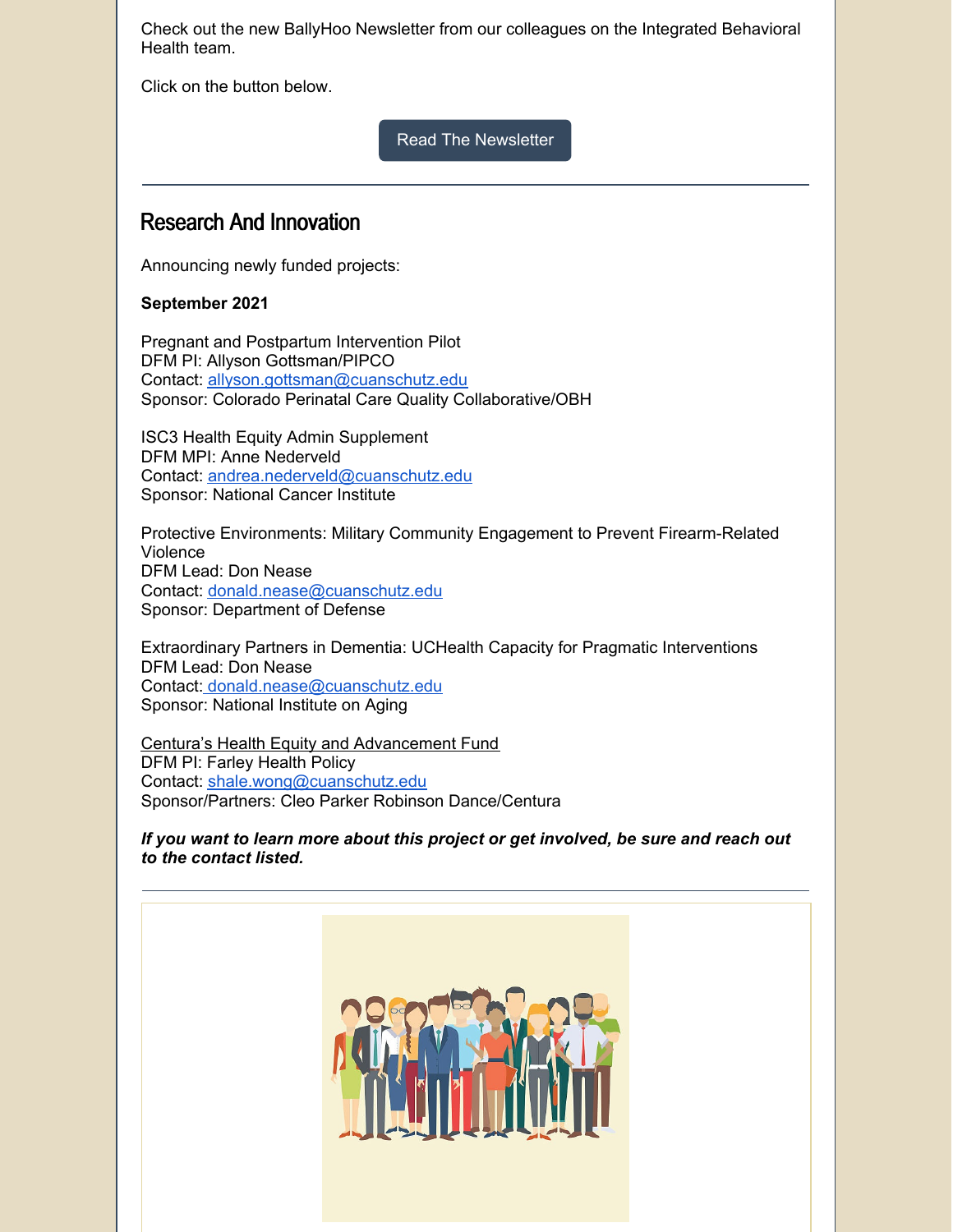Check out the new BallyHoo Newsletter from our colleagues on the Integrated Behavioral Health team.

Click on the button below.

Read The [Newsletter](https://medschool.cuanschutz.edu/family-medicine/about/news/behavioral-health-ballyhoo/behavioral-health-ballyhoo/behavioral-health-ballyhoo---october-2021)

#### Research And Innovation

Announcing newly funded projects:

#### **September 2021**

Pregnant and Postpartum Intervention Pilot DFM PI: Allyson Gottsman/PIPCO Contact: [allyson.gottsman@cuanschutz.edu](mailto:allyson.gottsman@cuanschutz.edu) Sponsor: Colorado Perinatal Care Quality Collaborative/OBH

ISC3 Health Equity Admin Supplement DFM MPI: Anne Nederveld Contact: [andrea.nederveld@cuanschutz.edu](mailto:andrea.nederveld@cuanschutz.edu) Sponsor: National Cancer Institute

Protective Environments: Military Community Engagement to Prevent Firearm-Related Violence DFM Lead: Don Nease Contact: [donald.nease@cuanschutz.edu](mailto:donald.nease@cuanschutz.edu) Sponsor: Department of Defense

Extraordinary Partners in Dementia: UCHealth Capacity for Pragmatic Interventions DFM Lead: Don Nease Contact: [donald.nease@cuanschutz.edu](mailto:donald.nease@cuanschutz.edu) Sponsor: National Institute on Aging

Centura's Health Equity and [Advancement](https://www.centura.org/centura-health-equity-advancement-fund) Fund DFM PI: Farley Health Policy Contact: [shale.wong@cuanschutz.edu](mailto:shale.wong@cuanschutz.edu) Sponsor/Partners: Cleo Parker Robinson Dance/Centura

*If you want to learn more about this project or get involved, be sure and reach out to the contact listed.*